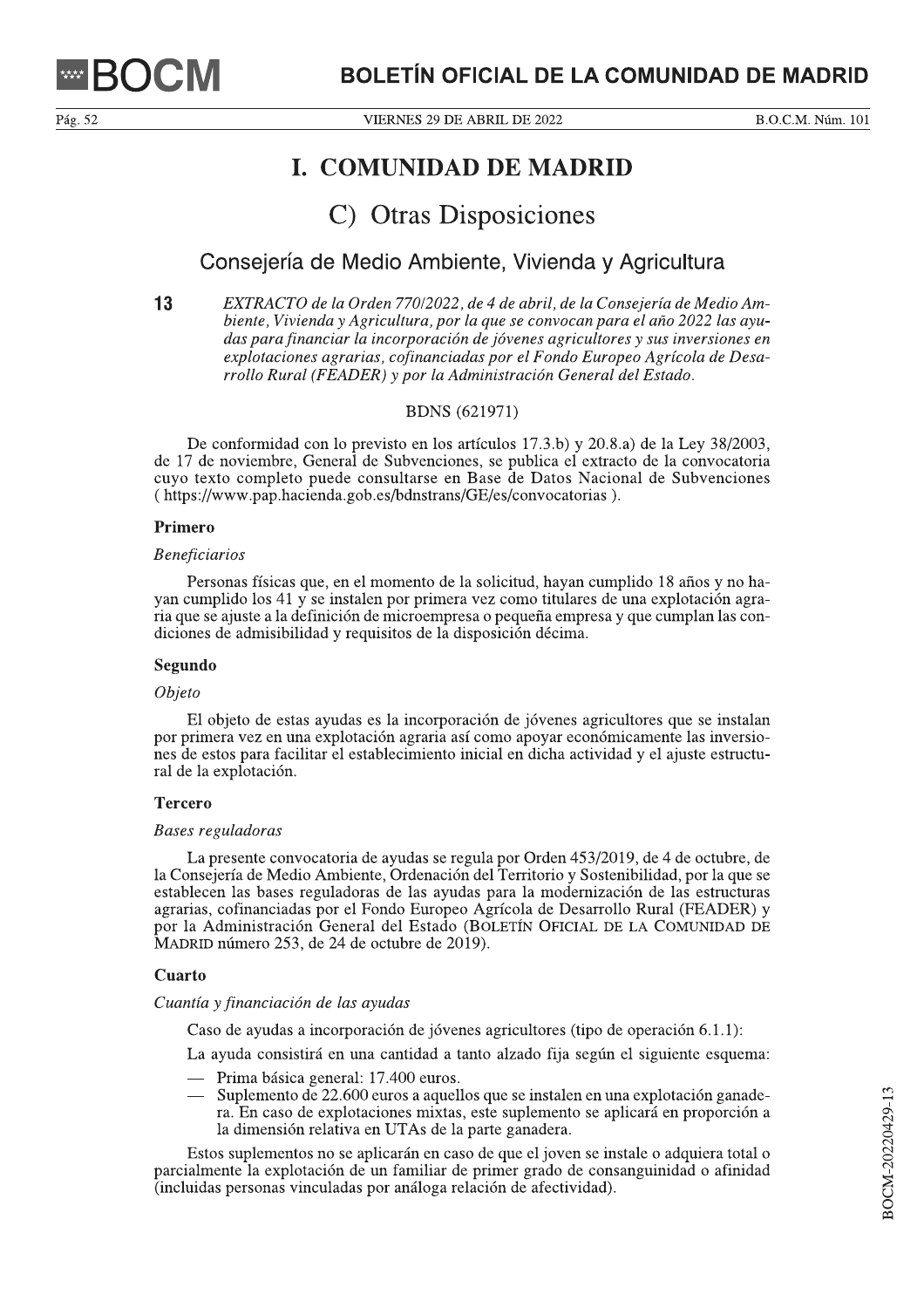VIERNES 29 DE ABRIL DE 2022

B.O.C.M. Núm. 101

# **I. COMUNIDAD DE MADRID**

# C) Otras Disposiciones

# Consejería de Medio Ambiente, Vivienda y Agricultura

 $13$ EXTRACTO de la Orden 770/2022, de 4 de abril, de la Consejería de Medio Ambiente, Vivienda y Agricultura, por la que se convocan para el año 2022 las ayudas para financiar la incorporación de jóvenes agricultores y sus inversiones en explotaciones agrarias, cofinanciadas por el Fondo Europeo Agrícola de Desarrollo Rural (FEADER) y por la Administración General del Estado.

## **BDNS** (621971)

De conformidad con lo previsto en los artículos 17.3.b) y 20.8.a) de la Ley 38/2003, de 17 de noviembre, General de Subvenciones, se publica el extracto de la convocatoria cuyo texto completo puede consultarse en Base de Datos Nacional de Subvenciones (https://www.pap.hacienda.gob.es/bdnstrans/GE/es/convocatorias).

### Primero

#### **Beneficiarios**

Personas físicas que, en el momento de la solicitud, hayan cumplido 18 años y no hayan cumplido los 41 y se instalen por primera vez como titulares de una explotación agraria que se ajuste a la definición de microempresa o pequeña empresa y que cumplan las condiciones de admisibilidad y requisitos de la disposición décima.

#### Segundo

#### *Objeto*

El objeto de estas ayudas es la incorporación de jóvenes agricultores que se instalan por primera vez en una explotación agraria así como apoyar económicamente las inversiones de estos para facilitar el establecimiento inicial en dicha actividad y el ajuste estructural de la explotación.

#### **Tercero**

#### Bases reguladoras

La presente convocatoria de ayudas se regula por Orden 453/2019, de 4 de octubre, de la Consejería de Medio Ambiente, Ordenación del Territorio y Sostenibilidad, por la que se establecen las bases reguladoras de las ayudas para la modernización de las estructuras agrarias, cofinanciadas por el Fondo Europeo Agrícola de Desarrollo Rural (FEADER) y por la Administración General del Estado (BOLETÍN OFICIAL DE LA COMUNIDAD DE MADRID número 253, de 24 de octubre de 2019).

#### Cuarto

#### Cuantía y financiación de las ayudas

Caso de ayudas a incorporación de jóvenes agricultores (tipo de operación 6.1.1):

La ayuda consistirá en una cantidad a tanto alzado fija según el siguiente esquema:

- Prima básica general: 17.400 euros.
- Suplemento de 22.600 euros a aquellos que se instalen en una explotación ganadera. En caso de explotaciones mixtas, este suplemento se aplicará en proporción a la dimensión relativa en UTAs de la parte ganadera.

Estos suplementos no se aplicarán en caso de que el joven se instale o adquiera total o parcialmente la explotación de un familiar de primer grado de consanguinidad o afinidad (incluidas personas vinculadas por análoga relación de afectividad).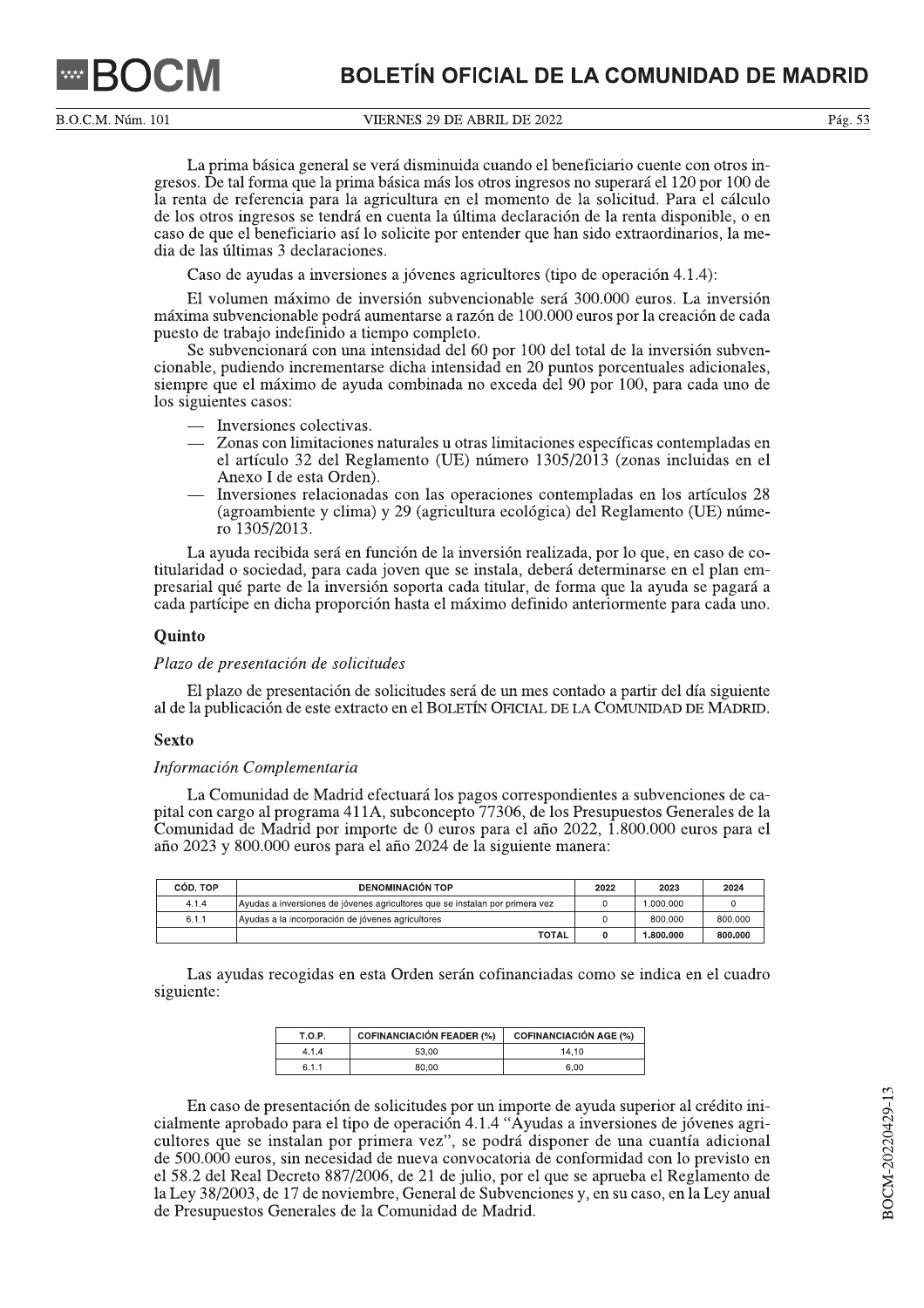B.O.C.M. Núm. 101

VIERNES 29 DE ABRIL DE 2022

La prima básica general se verá disminuida cuando el beneficiario cuente con otros ingresos. De tal forma que la prima básica más los otros ingresos no superará el 120 por 100 de la renta de referencia para la agricultura en el momento de la solicitud. Para el cálculo de los otros ingresos se tendrá en cuenta la última declaración de la renta disponible, o en caso de que el beneficiario así lo solicite por entender que han sido extraordinarios, la media de las últimas 3 declaraciones.

Caso de ayudas a inversiones a jóvenes agricultores (tipo de operación 4.1.4):

El volumen máximo de inversión subvencionable será 300.000 euros. La inversión máxima subvencionable podrá aumentarse a razón de 100.000 euros por la creación de cada puesto de trabajo indefinido a tiempo completo.

Se subvencionará con una intensidad del 60 por 100 del total de la inversión subvencionable, pudiendo incrementarse dicha intensidad en 20 puntos porcentuales adicionales, siempre que el máximo de ayuda combinada no exceda del 90 por 100, para cada uno de los siguientes casos:

- Inversiones colectivas.
- Zonas con limitaciones naturales u otras limitaciones específicas contempladas en el artículo 32 del Reglamento (UE) número 1305/2013 (zonas incluidas en el Anexo I de esta Orden).
- Inversiones relacionadas con las operaciones contempladas en los artículos 28 (agroambiente y clima) y 29 (agricultura ecológica) del Reglamento (UE) número 1305/2013.

La ayuda recibida será en función de la inversión realizada, por lo que, en caso de cotitularidad o sociedad, para cada joven que se instala, deberá determinarse en el plan empresarial qué parte de la inversión soporta cada titular, de forma que la ayuda se pagará a cada partícipe en dicha proporción hasta el máximo definido anteriormente para cada uno.

#### **Quinto**

### Plazo de presentación de solicitudes

El plazo de presentación de solicitudes será de un mes contado a partir del día siguiente al de la publicación de este extracto en el BOLETÍN OFICIAL DE LA COMUNIDAD DE MADRID.

#### **Sexto**

#### Información Complementaria

La Comunidad de Madrid efectuará los pagos correspondientes a subvenciones de capital con cargo al programa 411A, subconcepto 77306, de los Presupuestos Generales de la Comunidad de Madrid por importe de 0 euros para el año 2022, 1.800.000 euros para el año 2023 y 800.000 euros para el año 2024 de la siguiente manera:

| CÓD. TOP | <b>DENOMINACIÓN TOP</b>                                                      | 2022 | 2023     | 2024    |
|----------|------------------------------------------------------------------------------|------|----------|---------|
| 4.1.4    | Ayudas a inversiones de jóvenes agricultores que se instalan por primera vez |      | .000.000 |         |
| 6.1.1    | Avudas a la incorporación de jóvenes agricultores                            |      | 800.000  | 800.000 |
|          | <b>TOTAL</b>                                                                 |      | .800.000 | 800.000 |

Las ayudas recogidas en esta Orden serán cofinanciadas como se indica en el cuadro siguiente:

| <b>T.O.P.</b> | <b>COFINANCIACIÓN FEADER (%)</b> | <b>COFINANCIACIÓN AGE (%)</b> |
|---------------|----------------------------------|-------------------------------|
| 4.1.4         | 53.00                            | 14.10                         |
| 6.1.1         | 80.00                            | 6.00                          |

En caso de presentación de solicitudes por un importe de ayuda superior al crédito inicialmente aprobado para el tipo de operación 4.1.4 "Áyudas a inversiones de jóvenes agricultores que se instalan por primera vez", se podrá disponer de una cuantía adicional de 500.000 euros, sin necesidad de nueva convocatoria de conformidad con lo previsto en el 58.2 del Real Decreto 887/2006, de 21 de julio, por el que se aprueba el Reglamento de la Ley 38/2003, de 17 de noviembre, General de Subvenciones y, en su caso, en la Ley anual de Presupuestos Generales de la Comunidad de Madrid.